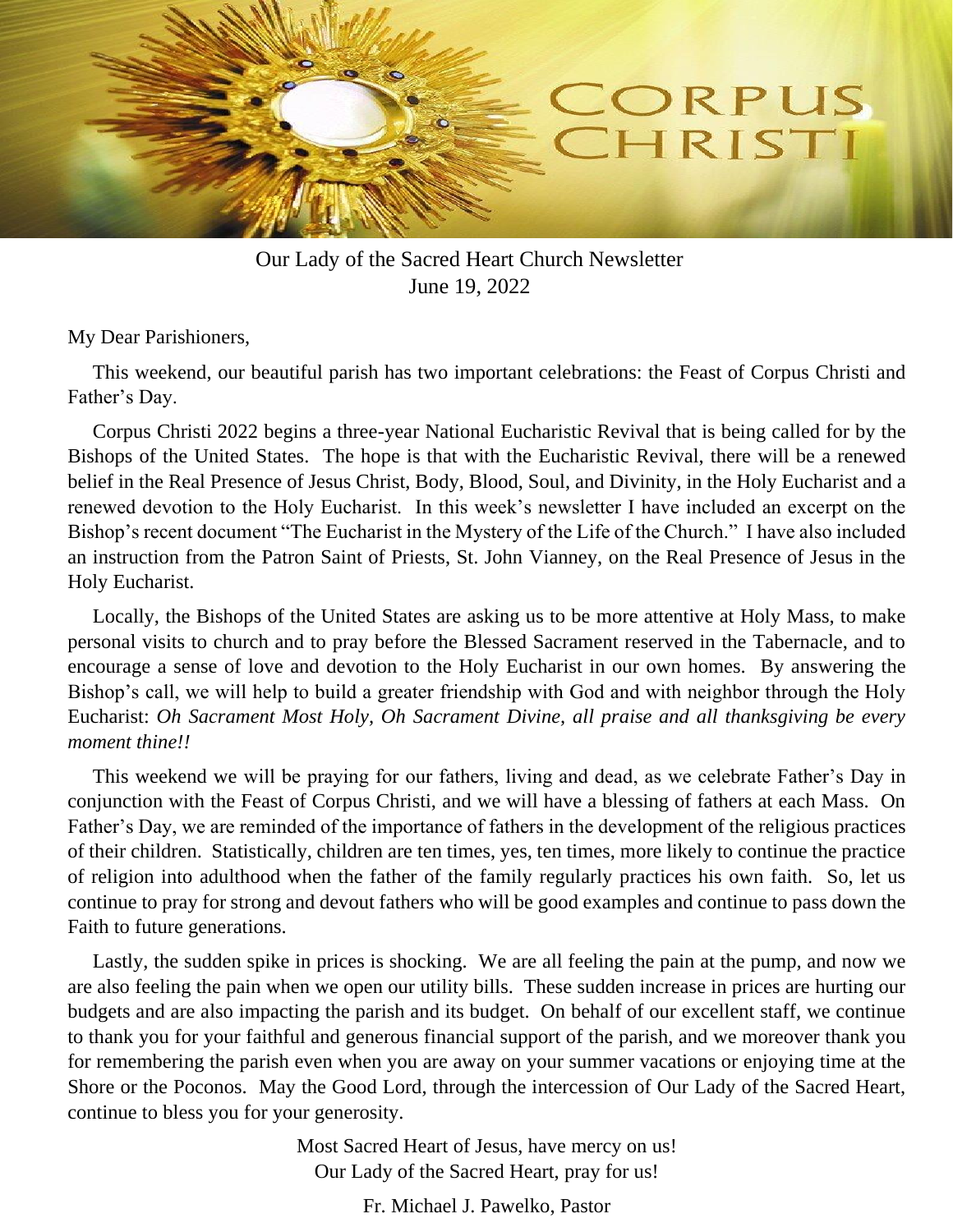

## Our Lady of the Sacred Heart Church Newsletter June 19, 2022

My Dear Parishioners,

 This weekend, our beautiful parish has two important celebrations: the Feast of Corpus Christi and Father's Day.

 Corpus Christi 2022 begins a three-year National Eucharistic Revival that is being called for by the Bishops of the United States. The hope is that with the Eucharistic Revival, there will be a renewed belief in the Real Presence of Jesus Christ, Body, Blood, Soul, and Divinity, in the Holy Eucharist and a renewed devotion to the Holy Eucharist. In this week's newsletter I have included an excerpt on the Bishop's recent document "The Eucharist in the Mystery of the Life of the Church." I have also included an instruction from the Patron Saint of Priests, St. John Vianney, on the Real Presence of Jesus in the Holy Eucharist.

 Locally, the Bishops of the United States are asking us to be more attentive at Holy Mass, to make personal visits to church and to pray before the Blessed Sacrament reserved in the Tabernacle, and to encourage a sense of love and devotion to the Holy Eucharist in our own homes. By answering the Bishop's call, we will help to build a greater friendship with God and with neighbor through the Holy Eucharist: *Oh Sacrament Most Holy, Oh Sacrament Divine, all praise and all thanksgiving be every moment thine!!*

 This weekend we will be praying for our fathers, living and dead, as we celebrate Father's Day in conjunction with the Feast of Corpus Christi, and we will have a blessing of fathers at each Mass. On Father's Day, we are reminded of the importance of fathers in the development of the religious practices of their children. Statistically, children are ten times, yes, ten times, more likely to continue the practice of religion into adulthood when the father of the family regularly practices his own faith. So, let us continue to pray for strong and devout fathers who will be good examples and continue to pass down the Faith to future generations.

 Lastly, the sudden spike in prices is shocking. We are all feeling the pain at the pump, and now we are also feeling the pain when we open our utility bills. These sudden increase in prices are hurting our budgets and are also impacting the parish and its budget. On behalf of our excellent staff, we continue to thank you for your faithful and generous financial support of the parish, and we moreover thank you for remembering the parish even when you are away on your summer vacations or enjoying time at the Shore or the Poconos. May the Good Lord, through the intercession of Our Lady of the Sacred Heart, continue to bless you for your generosity.

> Most Sacred Heart of Jesus, have mercy on us! Our Lady of the Sacred Heart, pray for us!

> > Fr. Michael J. Pawelko, Pastor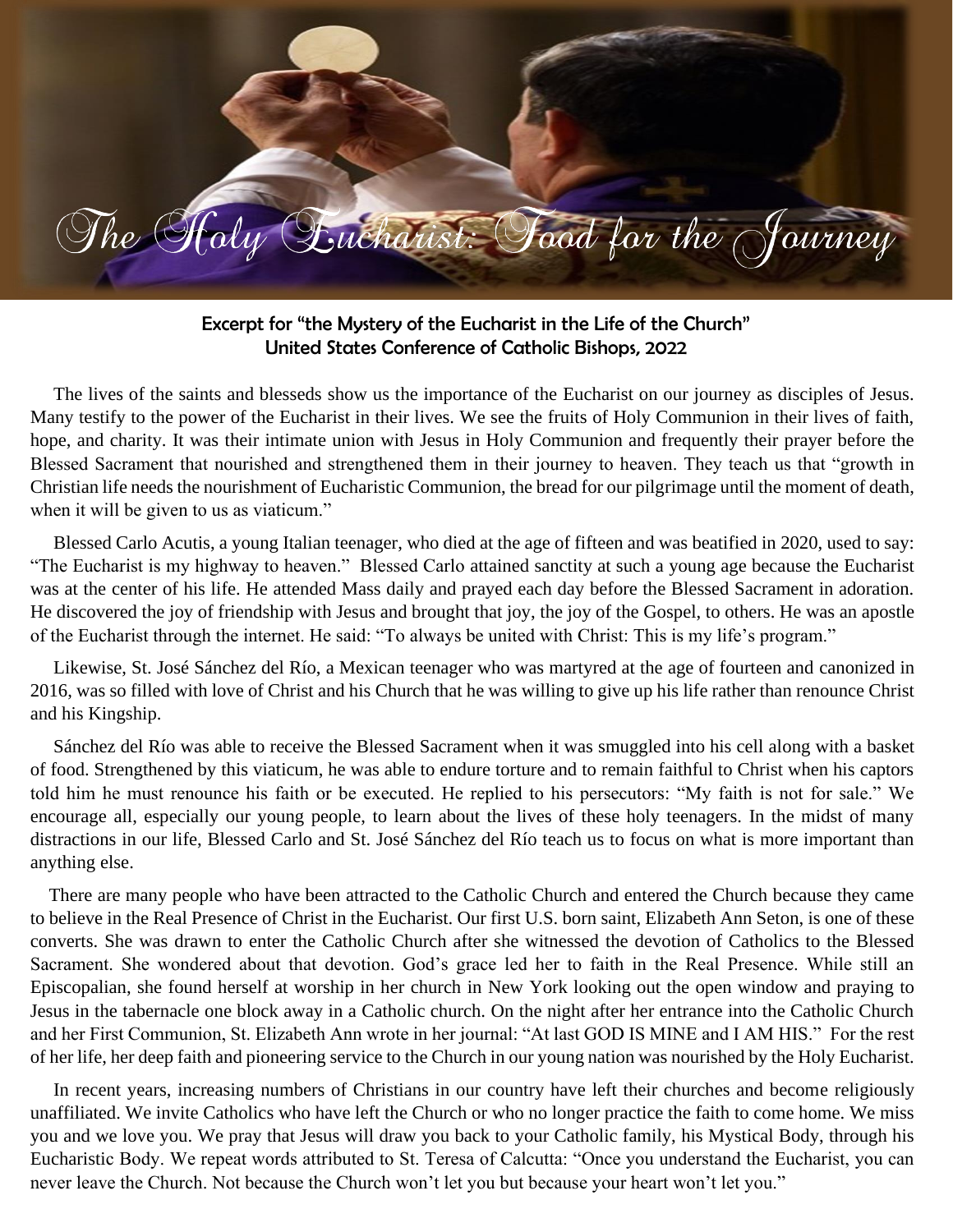

## Excerpt for "the Mystery of the Eucharist in the Life of the Church" United States Conference of Catholic Bishops, 2022

 The lives of the saints and blesseds show us the importance of the Eucharist on our journey as disciples of Jesus. Many testify to the power of the Eucharist in their lives. We see the fruits of Holy Communion in their lives of faith, hope, and charity. It was their intimate union with Jesus in Holy Communion and frequently their prayer before the Blessed Sacrament that nourished and strengthened them in their journey to heaven. They teach us that "growth in Christian life needs the nourishment of Eucharistic Communion, the bread for our pilgrimage until the moment of death, when it will be given to us as viaticum."

 Blessed Carlo Acutis, a young Italian teenager, who died at the age of fifteen and was beatified in 2020, used to say: "The Eucharist is my highway to heaven." Blessed Carlo attained sanctity at such a young age because the Eucharist was at the center of his life. He attended Mass daily and prayed each day before the Blessed Sacrament in adoration. He discovered the joy of friendship with Jesus and brought that joy, the joy of the Gospel, to others. He was an apostle of the Eucharist through the internet. He said: "To always be united with Christ: This is my life's program."

 Likewise, St. José Sánchez del Río, a Mexican teenager who was martyred at the age of fourteen and canonized in 2016, was so filled with love of Christ and his Church that he was willing to give up his life rather than renounce Christ and his Kingship.

 Sánchez del Río was able to receive the Blessed Sacrament when it was smuggled into his cell along with a basket of food. Strengthened by this viaticum, he was able to endure torture and to remain faithful to Christ when his captors told him he must renounce his faith or be executed. He replied to his persecutors: "My faith is not for sale." We encourage all, especially our young people, to learn about the lives of these holy teenagers. In the midst of many distractions in our life, Blessed Carlo and St. José Sánchez del Río teach us to focus on what is more important than anything else.

 There are many people who have been attracted to the Catholic Church and entered the Church because they came to believe in the Real Presence of Christ in the Eucharist. Our first U.S. born saint, Elizabeth Ann Seton, is one of these converts. She was drawn to enter the Catholic Church after she witnessed the devotion of Catholics to the Blessed Sacrament. She wondered about that devotion. God's grace led her to faith in the Real Presence. While still an Episcopalian, she found herself at worship in her church in New York looking out the open window and praying to Jesus in the tabernacle one block away in a Catholic church. On the night after her entrance into the Catholic Church and her First Communion, St. Elizabeth Ann wrote in her journal: "At last GOD IS MINE and I AM HIS." For the rest of her life, her deep faith and pioneering service to the Church in our young nation was nourished by the Holy Eucharist.

 In recent years, increasing numbers of Christians in our country have left their churches and become religiously unaffiliated. We invite Catholics who have left the Church or who no longer practice the faith to come home. We miss you and we love you. We pray that Jesus will draw you back to your Catholic family, his Mystical Body, through his Eucharistic Body. We repeat words attributed to St. Teresa of Calcutta: "Once you understand the Eucharist, you can never leave the Church. Not because the Church won't let you but because your heart won't let you."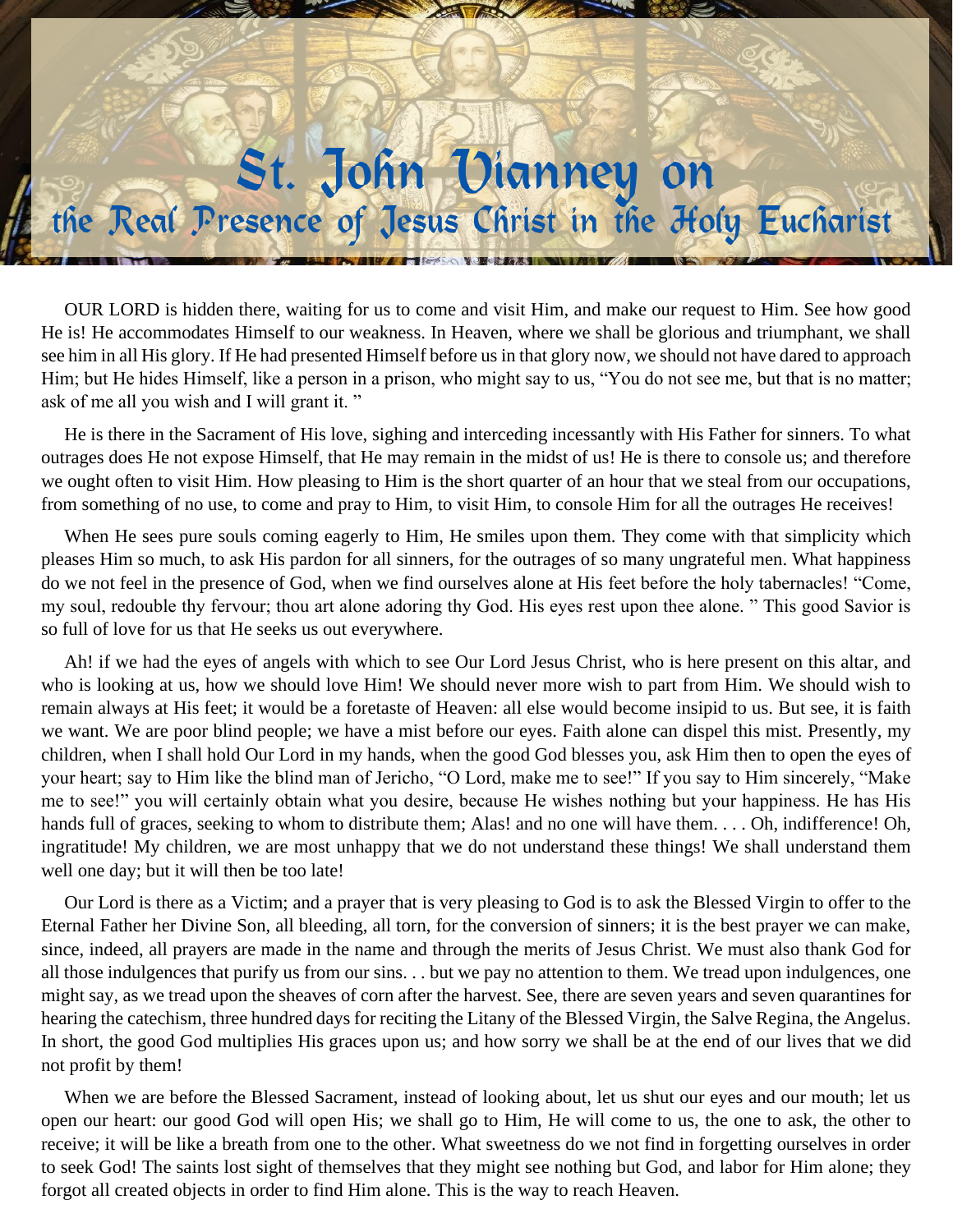## St. John Dianney on<br>the Real Presence of Jesus Christ in the Holy Eucharist

 OUR LORD is hidden there, waiting for us to come and visit Him, and make our request to Him. See how good He is! He accommodates Himself to our weakness. In Heaven, where we shall be glorious and triumphant, we shall see him in all His glory. If He had presented Himself before us in that glory now, we should not have dared to approach Him; but He hides Himself, like a person in a prison, who might say to us, "You do not see me, but that is no matter; ask of me all you wish and I will grant it. "

 He is there in the Sacrament of His love, sighing and interceding incessantly with His Father for sinners. To what outrages does He not expose Himself, that He may remain in the midst of us! He is there to console us; and therefore we ought often to visit Him. How pleasing to Him is the short quarter of an hour that we steal from our occupations, from something of no use, to come and pray to Him, to visit Him, to console Him for all the outrages He receives!

When He sees pure souls coming eagerly to Him, He smiles upon them. They come with that simplicity which pleases Him so much, to ask His pardon for all sinners, for the outrages of so many ungrateful men. What happiness do we not feel in the presence of God, when we find ourselves alone at His feet before the holy tabernacles! "Come, my soul, redouble thy fervour; thou art alone adoring thy God. His eyes rest upon thee alone. " This good Savior is so full of love for us that He seeks us out everywhere.

 Ah! if we had the eyes of angels with which to see Our Lord Jesus Christ, who is here present on this altar, and who is looking at us, how we should love Him! We should never more wish to part from Him. We should wish to remain always at His feet; it would be a foretaste of Heaven: all else would become insipid to us. But see, it is faith we want. We are poor blind people; we have a mist before our eyes. Faith alone can dispel this mist. Presently, my children, when I shall hold Our Lord in my hands, when the good God blesses you, ask Him then to open the eyes of your heart; say to Him like the blind man of Jericho, "O Lord, make me to see!" If you say to Him sincerely, "Make me to see!" you will certainly obtain what you desire, because He wishes nothing but your happiness. He has His hands full of graces, seeking to whom to distribute them; Alas! and no one will have them. . . . Oh, indifference! Oh, ingratitude! My children, we are most unhappy that we do not understand these things! We shall understand them well one day; but it will then be too late!

 Our Lord is there as a Victim; and a prayer that is very pleasing to God is to ask the Blessed Virgin to offer to the Eternal Father her Divine Son, all bleeding, all torn, for the conversion of sinners; it is the best prayer we can make, since, indeed, all prayers are made in the name and through the merits of Jesus Christ. We must also thank God for all those indulgences that purify us from our sins. . . but we pay no attention to them. We tread upon indulgences, one might say, as we tread upon the sheaves of corn after the harvest. See, there are seven years and seven quarantines for hearing the catechism, three hundred days for reciting the Litany of the Blessed Virgin, the Salve Regina, the Angelus. In short, the good God multiplies His graces upon us; and how sorry we shall be at the end of our lives that we did not profit by them!

 When we are before the Blessed Sacrament, instead of looking about, let us shut our eyes and our mouth; let us open our heart: our good God will open His; we shall go to Him, He will come to us, the one to ask, the other to receive; it will be like a breath from one to the other. What sweetness do we not find in forgetting ourselves in order to seek God! The saints lost sight of themselves that they might see nothing but God, and labor for Him alone; they forgot all created objects in order to find Him alone. This is the way to reach Heaven.